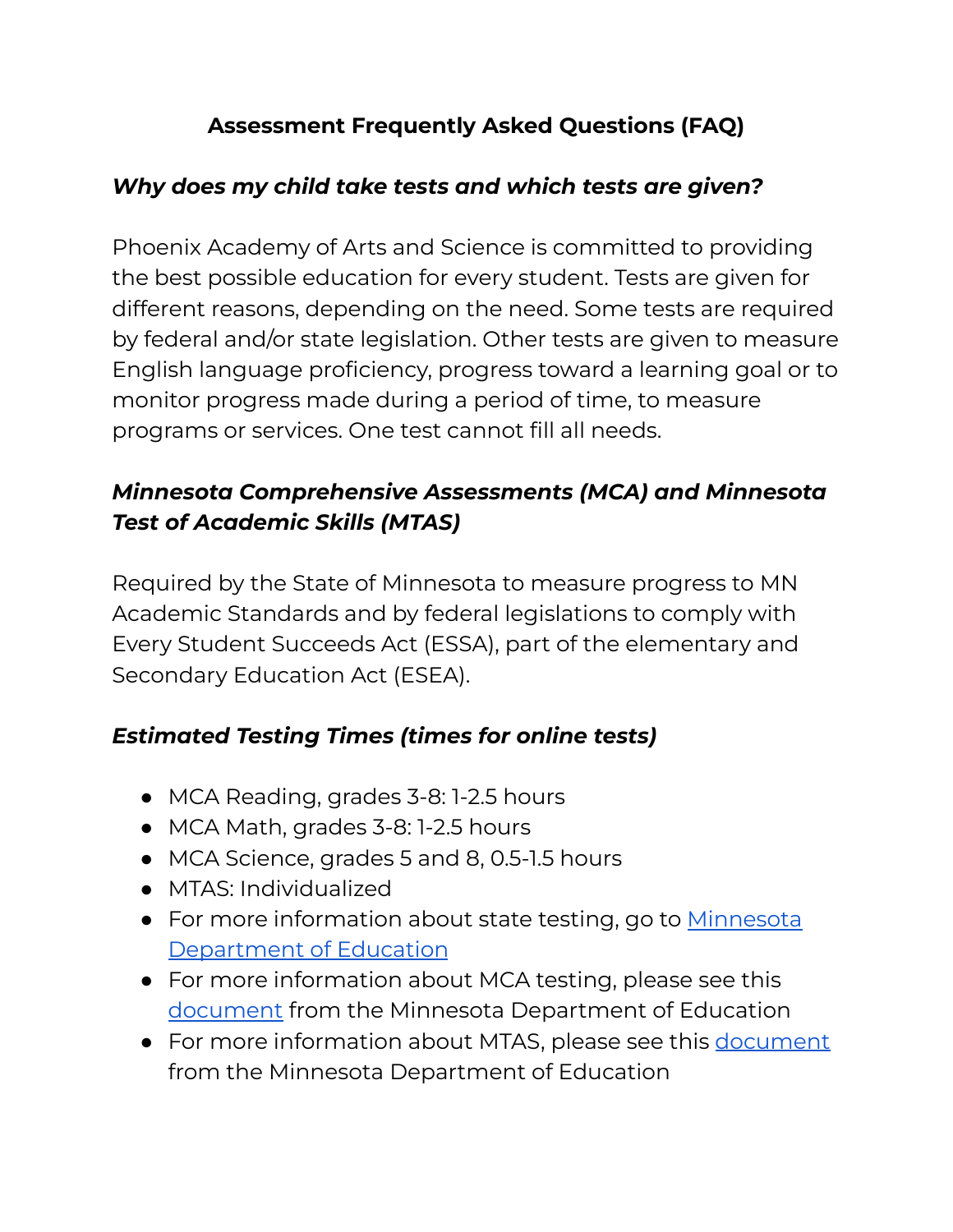## **Assessment Frequently Asked Questions (FAQ)**

### *Why does my child take tests and which tests are given?*

Phoenix Academy of Arts and Science is committed to providing the best possible education for every student. Tests are given for different reasons, depending on the need. Some tests are required by federal and/or state legislation. Other tests are given to measure English language proficiency, progress toward a learning goal or to monitor progress made during a period of time, to measure programs or services. One test cannot fill all needs.

# *Minnesota Comprehensive Assessments (MCA) and Minnesota Test of Academic Skills (MTAS)*

Required by the State of Minnesota to measure progress to MN Academic Standards and by federal legislations to comply with Every Student Succeeds Act (ESSA), part of the elementary and Secondary Education Act (ESEA).

# *Estimated Testing Times (times for online tests)*

- MCA Reading, grades 3-8: 1-2.5 hours
- MCA Math, grades 3-8: 1-2.5 hours
- MCA Science, grades 5 and 8, 0.5-1.5 hours
- MTAS: Individualized
- For more information about state testing, go to [Minnesota](https://education.mn.gov/MDE/fam/tests/) [Department](https://education.mn.gov/MDE/fam/tests/) of Education
- For more information about MCA testing, please see this [document](https://education.mn.gov/mdeprod/groups/educ/documents/basic/mdaw/mdmx/~edisp/031107.pdf) from the Minnesota Department of Education
- For more information about MTAS, please see this [document](https://education.mn.gov/mdeprod/groups/educ/documents/basic/mdaw/mdqy/~edisp/042192.pdf) from the Minnesota Department of Education